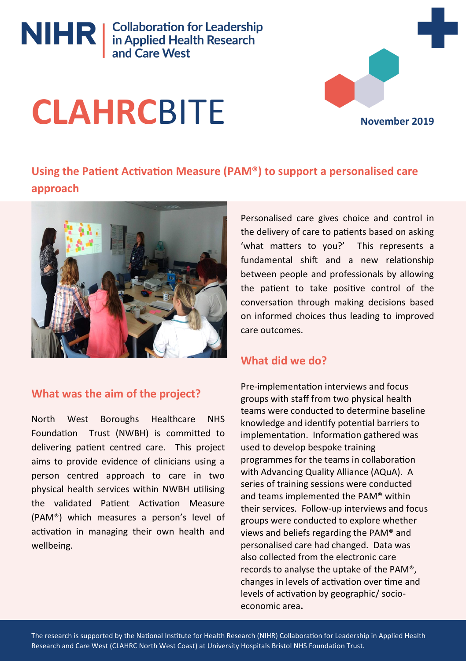

# NIHR | Collaboration for Leadership<br>
in Applied Health Research<br>
and Care West

## **CLAHRC**BITE

**November 2019**

## **Using the Patient Activation Measure (PAM®) to support a personalised care approach**



## **What was the aim of the project?**

North West Boroughs Healthcare NHS Foundation Trust (NWBH) is committed to delivering patient centred care. This project aims to provide evidence of clinicians using a person centred approach to care in two physical health services within NWBH utilising the validated Patient Activation Measure (PAM®) which measures a person's level of activation in managing their own health and wellbeing.

Personalised care gives choice and control in the delivery of care to patients based on asking 'what matters to you?' This represents a fundamental shift and a new relationship between people and professionals by allowing the patient to take positive control of the conversation through making decisions based on informed choices thus leading to improved care outcomes.

## **What did we do?**

Pre-implementation interviews and focus groups with staff from two physical health teams were conducted to determine baseline knowledge and identify potential barriers to implementation. Information gathered was used to develop bespoke training programmes for the teams in collaboration with Advancing Quality Alliance (AQuA). A series of training sessions were conducted and teams implemented the PAM® within their services. Follow-up interviews and focus groups were conducted to explore whether views and beliefs regarding the PAM® and personalised care had changed. Data was also collected from the electronic care records to analyse the uptake of the PAM®, changes in levels of activation over time and levels of activation by geographic/ socioeconomic area**.**